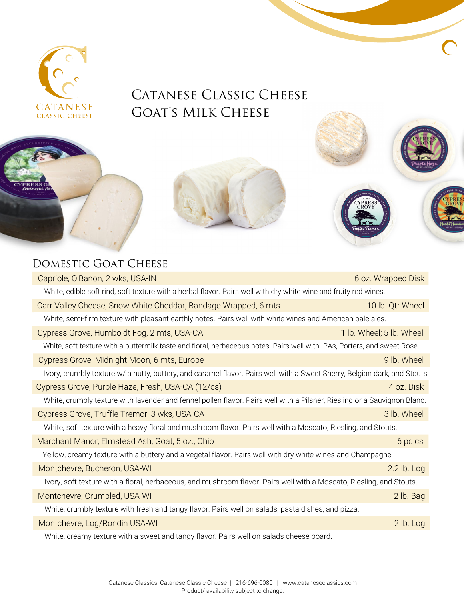

## CATANESE CLASSIC CHEESE GOAT'S MILK CHEESE



## DOMESTIC GOAT CHEESE

| Capriole, O'Banon, 2 wks, USA-IN                                                                                          | 6 oz. Wrapped Disk       |  |
|---------------------------------------------------------------------------------------------------------------------------|--------------------------|--|
| White, edible soft rind, soft texture with a herbal flavor. Pairs well with dry white wine and fruity red wines.          |                          |  |
| Carr Valley Cheese, Snow White Cheddar, Bandage Wrapped, 6 mts                                                            | 10 lb. Qtr Wheel         |  |
| White, semi-firm texture with pleasant earthly notes. Pairs well with white wines and American pale ales.                 |                          |  |
| Cypress Grove, Humboldt Fog, 2 mts, USA-CA                                                                                | 1 lb. Wheel; 5 lb. Wheel |  |
| White, soft texture with a buttermilk taste and floral, herbaceous notes. Pairs well with IPAs, Porters, and sweet Rosé.  |                          |  |
| Cypress Grove, Midnight Moon, 6 mts, Europe                                                                               | 9 lb. Wheel              |  |
| Ivory, crumbly texture w/ a nutty, buttery, and caramel flavor. Pairs well with a Sweet Sherry, Belgian dark, and Stouts. |                          |  |
| Cypress Grove, Purple Haze, Fresh, USA-CA (12/cs)                                                                         | 4 oz. Disk               |  |
| White, crumbly texture with lavender and fennel pollen flavor. Pairs well with a Pilsner, Riesling or a Sauvignon Blanc.  |                          |  |
| Cypress Grove, Truffle Tremor, 3 wks, USA-CA                                                                              | 3 lb. Wheel              |  |
| White, soft texture with a heavy floral and mushroom flavor. Pairs well with a Moscato, Riesling, and Stouts.             |                          |  |
| Marchant Manor, Elmstead Ash, Goat, 5 oz., Ohio                                                                           | 6 pc cs                  |  |
| Yellow, creamy texture with a buttery and a vegetal flavor. Pairs well with dry white wines and Champagne.                |                          |  |
| Montchevre, Bucheron, USA-WI                                                                                              | $2.2$ lb. Log            |  |
| Ivory, soft texture with a floral, herbaceous, and mushroom flavor. Pairs well with a Moscato, Riesling, and Stouts.      |                          |  |
| Montchevre, Crumbled, USA-WI                                                                                              | 2 lb. Bag                |  |
| White, crumbly texture with fresh and tangy flavor. Pairs well on salads, pasta dishes, and pizza.                        |                          |  |
| Montchevre, Log/Rondin USA-WI                                                                                             | $2$ lb. Log              |  |
| White, creamy texture with a sweet and tangy flavor. Pairs well on salads cheese board.                                   |                          |  |